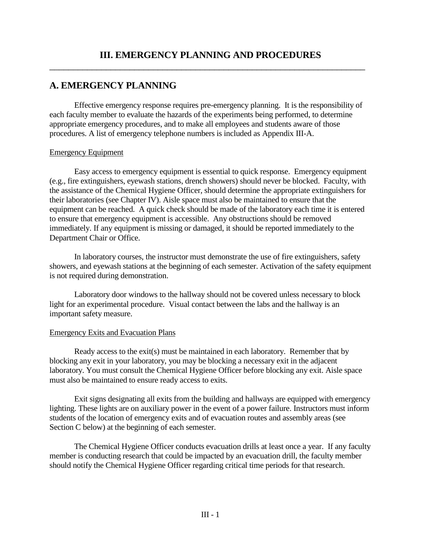# **A. EMERGENCY PLANNING**

Effective emergency response requires pre-emergency planning. It is the responsibility of each faculty member to evaluate the hazards of the experiments being performed, to determine appropriate emergency procedures, and to make all employees and students aware of those procedures. A list of emergency telephone numbers is included as Appendix III-A.

#### Emergency Equipment

Easy access to emergency equipment is essential to quick response. Emergency equipment (e.g., fire extinguishers, eyewash stations, drench showers) should never be blocked. Faculty, with the assistance of the Chemical Hygiene Officer, should determine the appropriate extinguishers for their laboratories (see Chapter IV). Aisle space must also be maintained to ensure that the equipment can be reached. A quick check should be made of the laboratory each time it is entered to ensure that emergency equipment is accessible. Any obstructions should be removed immediately. If any equipment is missing or damaged, it should be reported immediately to the Department Chair or Office.

In laboratory courses, the instructor must demonstrate the use of fire extinguishers, safety showers, and eyewash stations at the beginning of each semester. Activation of the safety equipment is not required during demonstration.

Laboratory door windows to the hallway should not be covered unless necessary to block light for an experimental procedure. Visual contact between the labs and the hallway is an important safety measure.

### Emergency Exits and Evacuation Plans

Ready access to the exit(s) must be maintained in each laboratory. Remember that by blocking any exit in your laboratory, you may be blocking a necessary exit in the adjacent laboratory. You must consult the Chemical Hygiene Officer before blocking any exit. Aisle space must also be maintained to ensure ready access to exits.

Exit signs designating all exits from the building and hallways are equipped with emergency lighting. These lights are on auxiliary power in the event of a power failure. Instructors must inform students of the location of emergency exits and of evacuation routes and assembly areas (see Section C below) at the beginning of each semester.

The Chemical Hygiene Officer conducts evacuation drills at least once a year. If any faculty member is conducting research that could be impacted by an evacuation drill, the faculty member should notify the Chemical Hygiene Officer regarding critical time periods for that research.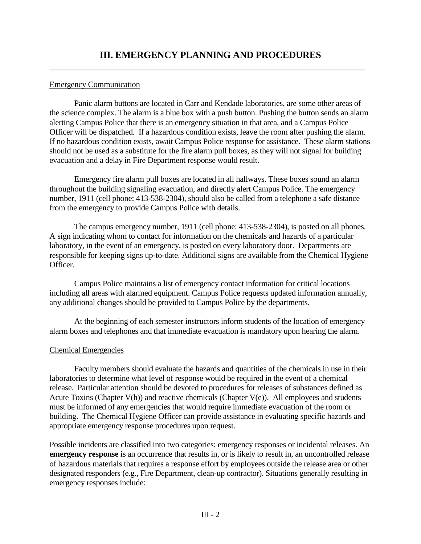### Emergency Communication

Panic alarm buttons are located in Carr and Kendade laboratories, are some other areas of the science complex. The alarm is a blue box with a push button. Pushing the button sends an alarm alerting Campus Police that there is an emergency situation in that area, and a Campus Police Officer will be dispatched. If a hazardous condition exists, leave the room after pushing the alarm. If no hazardous condition exists, await Campus Police response for assistance. These alarm stations should not be used as a substitute for the fire alarm pull boxes, as they will not signal for building evacuation and a delay in Fire Department response would result.

Emergency fire alarm pull boxes are located in all hallways. These boxes sound an alarm throughout the building signaling evacuation, and directly alert Campus Police. The emergency number, 1911 (cell phone: 413-538-2304), should also be called from a telephone a safe distance from the emergency to provide Campus Police with details.

The campus emergency number, 1911 (cell phone: 413-538-2304), is posted on all phones. A sign indicating whom to contact for information on the chemicals and hazards of a particular laboratory, in the event of an emergency, is posted on every laboratory door. Departments are responsible for keeping signs up-to-date. Additional signs are available from the Chemical Hygiene Officer.

Campus Police maintains a list of emergency contact information for critical locations including all areas with alarmed equipment. Campus Police requests updated information annually, any additional changes should be provided to Campus Police by the departments.

At the beginning of each semester instructors inform students of the location of emergency alarm boxes and telephones and that immediate evacuation is mandatory upon hearing the alarm.

### Chemical Emergencies

Faculty members should evaluate the hazards and quantities of the chemicals in use in their laboratories to determine what level of response would be required in the event of a chemical release. Particular attention should be devoted to procedures for releases of substances defined as Acute Toxins (Chapter  $V(h)$ ) and reactive chemicals (Chapter  $V(e)$ ). All employees and students must be informed of any emergencies that would require immediate evacuation of the room or building. The Chemical Hygiene Officer can provide assistance in evaluating specific hazards and appropriate emergency response procedures upon request.

Possible incidents are classified into two categories: emergency responses or incidental releases. An **emergency response** is an occurrence that results in, or is likely to result in, an uncontrolled release of hazardous materials that requires a response effort by employees outside the release area or other designated responders (e.g., Fire Department, clean-up contractor). Situations generally resulting in emergency responses include: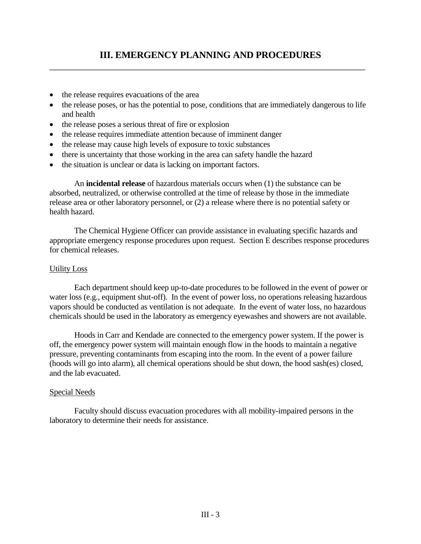$\overline{a_1}$  ,  $\overline{a_2}$  ,  $\overline{a_3}$  ,  $\overline{a_4}$  ,  $\overline{a_5}$  ,  $\overline{a_6}$  ,  $\overline{a_7}$  ,  $\overline{a_8}$  ,  $\overline{a_9}$  ,  $\overline{a_9}$  ,  $\overline{a_9}$  ,  $\overline{a_9}$  ,  $\overline{a_9}$  ,  $\overline{a_9}$  ,  $\overline{a_9}$  ,  $\overline{a_9}$  ,  $\overline{a_9}$  ,

- the release requires evacuations of the area
- the release poses, or has the potential to pose, conditions that are immediately dangerous to life and health
- the release poses a serious threat of fire or explosion
- the release requires immediate attention because of imminent danger
- the release may cause high levels of exposure to toxic substances
- there is uncertainty that those working in the area can safety handle the hazard
- the situation is unclear or data is lacking on important factors.

An **incidental release** of hazardous materials occurs when (1) the substance can be absorbed, neutralized, or otherwise controlled at the time of release by those in the immediate release area or other laboratory personnel, or (2) a release where there is no potential safety or health hazard.

The Chemical Hygiene Officer can provide assistance in evaluating specific hazards and appropriate emergency response procedures upon request. Section E describes response procedures for chemical releases.

#### Utility Loss

Each department should keep up-to-date procedures to be followed in the event of power or water loss (e.g., equipment shut-off). In the event of power loss, no operations releasing hazardous vapors should be conducted as ventilation is not adequate. In the event of water loss, no hazardous chemicals should be used in the laboratory as emergency eyewashes and showers are not available.

Hoods in Carr and Kendade are connected to the emergency power system. If the power is off, the emergency power system will maintain enough flow in the hoods to maintain a negative pressure, preventing contaminants from escaping into the room. In the event of a power failure (hoods will go into alarm), all chemical operations should be shut down, the hood sash(es) closed, and the lab evacuated.

#### Special Needs

Faculty should discuss evacuation procedures with all mobility-impaired persons in the laboratory to determine their needs for assistance.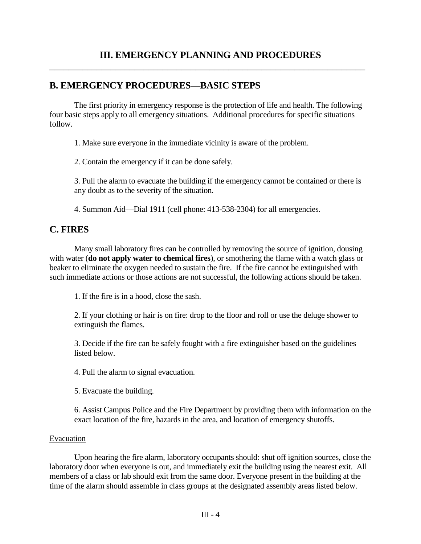# **B. EMERGENCY PROCEDURES—BASIC STEPS**

The first priority in emergency response is the protection of life and health. The following four basic steps apply to all emergency situations. Additional procedures for specific situations follow.

1. Make sure everyone in the immediate vicinity is aware of the problem.

2. Contain the emergency if it can be done safely.

3. Pull the alarm to evacuate the building if the emergency cannot be contained or there is any doubt as to the severity of the situation.

4. Summon Aid—Dial 1911 (cell phone: 413-538-2304) for all emergencies.

# **C. FIRES**

Many small laboratory fires can be controlled by removing the source of ignition, dousing with water (**do not apply water to chemical fires**), or smothering the flame with a watch glass or beaker to eliminate the oxygen needed to sustain the fire. If the fire cannot be extinguished with such immediate actions or those actions are not successful, the following actions should be taken.

1. If the fire is in a hood, close the sash.

2. If your clothing or hair is on fire: drop to the floor and roll or use the deluge shower to extinguish the flames.

3. Decide if the fire can be safely fought with a fire extinguisher based on the guidelines listed below.

4. Pull the alarm to signal evacuation.

5. Evacuate the building.

6. Assist Campus Police and the Fire Department by providing them with information on the exact location of the fire, hazards in the area, and location of emergency shutoffs.

### Evacuation

Upon hearing the fire alarm, laboratory occupants should: shut off ignition sources, close the laboratory door when everyone is out, and immediately exit the building using the nearest exit. All members of a class or lab should exit from the same door. Everyone present in the building at the time of the alarm should assemble in class groups at the designated assembly areas listed below.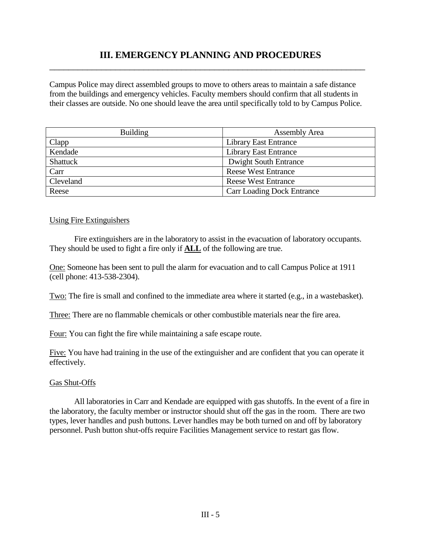Campus Police may direct assembled groups to move to others areas to maintain a safe distance from the buildings and emergency vehicles. Faculty members should confirm that all students in their classes are outside. No one should leave the area until specifically told to by Campus Police.

| <b>Building</b> | <b>Assembly Area</b>              |  |
|-----------------|-----------------------------------|--|
| Clapp           | <b>Library East Entrance</b>      |  |
| Kendade         | <b>Library East Entrance</b>      |  |
| Shattuck        | <b>Dwight South Entrance</b>      |  |
| Carr            | <b>Reese West Entrance</b>        |  |
| Cleveland       | <b>Reese West Entrance</b>        |  |
| Reese           | <b>Carr Loading Dock Entrance</b> |  |

#### Using Fire Extinguishers

Fire extinguishers are in the laboratory to assist in the evacuation of laboratory occupants. They should be used to fight a fire only if **ALL** of the following are true.

One: Someone has been sent to pull the alarm for evacuation and to call Campus Police at 1911 (cell phone: 413-538-2304).

Two: The fire is small and confined to the immediate area where it started (e.g., in a wastebasket).

Three: There are no flammable chemicals or other combustible materials near the fire area.

Four: You can fight the fire while maintaining a safe escape route.

Five: You have had training in the use of the extinguisher and are confident that you can operate it effectively.

#### Gas Shut-Offs

All laboratories in Carr and Kendade are equipped with gas shutoffs. In the event of a fire in the laboratory, the faculty member or instructor should shut off the gas in the room. There are two types, lever handles and push buttons. Lever handles may be both turned on and off by laboratory personnel. Push button shut-offs require Facilities Management service to restart gas flow.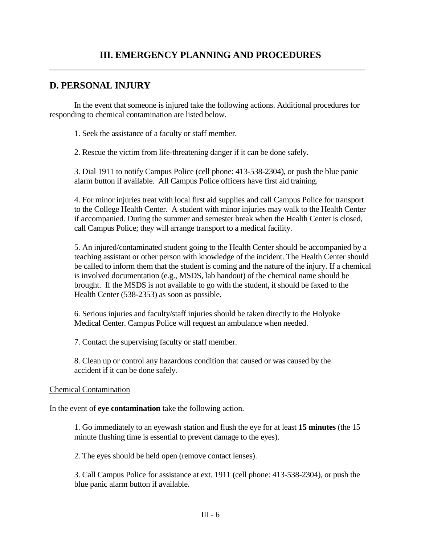# **D. PERSONAL INJURY**

In the event that someone is injured take the following actions. Additional procedures for responding to chemical contamination are listed below.

1. Seek the assistance of a faculty or staff member.

2. Rescue the victim from life-threatening danger if it can be done safely.

3. Dial 1911 to notify Campus Police (cell phone: 413-538-2304), or push the blue panic alarm button if available. All Campus Police officers have first aid training.

4. For minor injuries treat with local first aid supplies and call Campus Police for transport to the College Health Center. A student with minor injuries may walk to the Health Center if accompanied. During the summer and semester break when the Health Center is closed, call Campus Police; they will arrange transport to a medical facility.

5. An injured/contaminated student going to the Health Center should be accompanied by a teaching assistant or other person with knowledge of the incident. The Health Center should be called to inform them that the student is coming and the nature of the injury. If a chemical is involved documentation (e.g., MSDS, lab handout) of the chemical name should be brought. If the MSDS is not available to go with the student, it should be faxed to the Health Center (538-2353) as soon as possible.

6. Serious injuries and faculty/staff injuries should be taken directly to the Holyoke Medical Center. Campus Police will request an ambulance when needed.

7. Contact the supervising faculty or staff member.

8. Clean up or control any hazardous condition that caused or was caused by the accident if it can be done safely.

### Chemical Contamination

In the event of **eye contamination** take the following action.

1. Go immediately to an eyewash station and flush the eye for at least **15 minutes** (the 15 minute flushing time is essential to prevent damage to the eyes).

2. The eyes should be held open (remove contact lenses).

3. Call Campus Police for assistance at ext. 1911 (cell phone: 413-538-2304), or push the blue panic alarm button if available.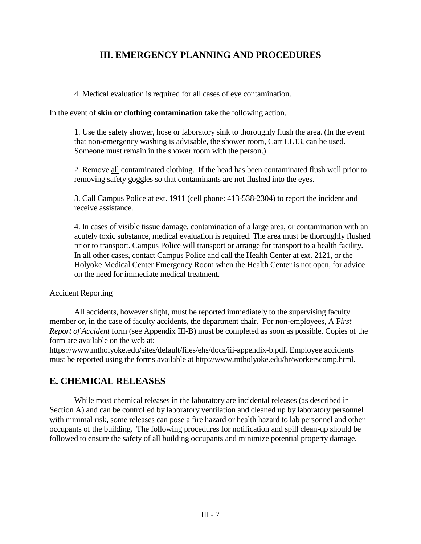$\overline{a_1}$  ,  $\overline{a_2}$  ,  $\overline{a_3}$  ,  $\overline{a_4}$  ,  $\overline{a_5}$  ,  $\overline{a_6}$  ,  $\overline{a_7}$  ,  $\overline{a_8}$  ,  $\overline{a_9}$  ,  $\overline{a_9}$  ,  $\overline{a_9}$  ,  $\overline{a_9}$  ,  $\overline{a_9}$  ,  $\overline{a_9}$  ,  $\overline{a_9}$  ,  $\overline{a_9}$  ,  $\overline{a_9}$  ,

4. Medical evaluation is required for all cases of eye contamination.

In the event of **skin or clothing contamination** take the following action.

1. Use the safety shower, hose or laboratory sink to thoroughly flush the area. (In the event that non-emergency washing is advisable, the shower room, Carr LL13, can be used. Someone must remain in the shower room with the person.)

2. Remove all contaminated clothing. If the head has been contaminated flush well prior to removing safety goggles so that contaminants are not flushed into the eyes.

3. Call Campus Police at ext. 1911 (cell phone: 413-538-2304) to report the incident and receive assistance.

4. In cases of visible tissue damage, contamination of a large area, or contamination with an acutely toxic substance, medical evaluation is required. The area must be thoroughly flushed prior to transport. Campus Police will transport or arrange for transport to a health facility. In all other cases, contact Campus Police and call the Health Center at ext. 2121, or the Holyoke Medical Center Emergency Room when the Health Center is not open, for advice on the need for immediate medical treatment.

### Accident Reporting

All accidents, however slight, must be reported immediately to the supervising faculty member or, in the case of faculty accidents, the department chair. For non-employees, A F*irst Report of Accident* form (see Appendix III-B) must be completed as soon as possible. Copies of the form are available on the web at:

https://www.mtholyoke.edu/sites/default/files/ehs/docs/iii-appendix-b.pdf. Employee accidents must be reported using the forms available at http://www.mtholyoke.edu/hr/workerscomp.html.

# **E. CHEMICAL RELEASES**

While most chemical releases in the laboratory are incidental releases (as described in Section A) and can be controlled by laboratory ventilation and cleaned up by laboratory personnel with minimal risk, some releases can pose a fire hazard or health hazard to lab personnel and other occupants of the building. The following procedures for notification and spill clean-up should be followed to ensure the safety of all building occupants and minimize potential property damage.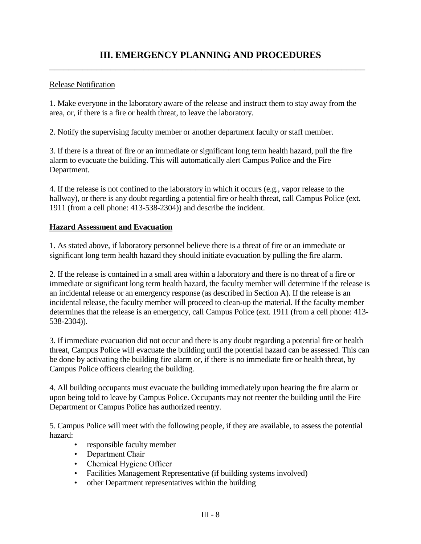### Release Notification

1. Make everyone in the laboratory aware of the release and instruct them to stay away from the area, or, if there is a fire or health threat, to leave the laboratory.

2. Notify the supervising faculty member or another department faculty or staff member.

3. If there is a threat of fire or an immediate or significant long term health hazard, pull the fire alarm to evacuate the building. This will automatically alert Campus Police and the Fire Department.

4. If the release is not confined to the laboratory in which it occurs (e.g., vapor release to the hallway), or there is any doubt regarding a potential fire or health threat, call Campus Police (ext. 1911 (from a cell phone: 413-538-2304)) and describe the incident.

### **Hazard Assessment and Evacuation**

1. As stated above, if laboratory personnel believe there is a threat of fire or an immediate or significant long term health hazard they should initiate evacuation by pulling the fire alarm.

2. If the release is contained in a small area within a laboratory and there is no threat of a fire or immediate or significant long term health hazard, the faculty member will determine if the release is an incidental release or an emergency response (as described in Section A). If the release is an incidental release, the faculty member will proceed to clean-up the material. If the faculty member determines that the release is an emergency, call Campus Police (ext. 1911 (from a cell phone: 413- 538-2304)).

3. If immediate evacuation did not occur and there is any doubt regarding a potential fire or health threat, Campus Police will evacuate the building until the potential hazard can be assessed. This can be done by activating the building fire alarm or, if there is no immediate fire or health threat, by Campus Police officers clearing the building.

4. All building occupants must evacuate the building immediately upon hearing the fire alarm or upon being told to leave by Campus Police. Occupants may not reenter the building until the Fire Department or Campus Police has authorized reentry.

5. Campus Police will meet with the following people, if they are available, to assess the potential hazard:

- responsible faculty member
- Department Chair
- Chemical Hygiene Officer
- Facilities Management Representative (if building systems involved)
- other Department representatives within the building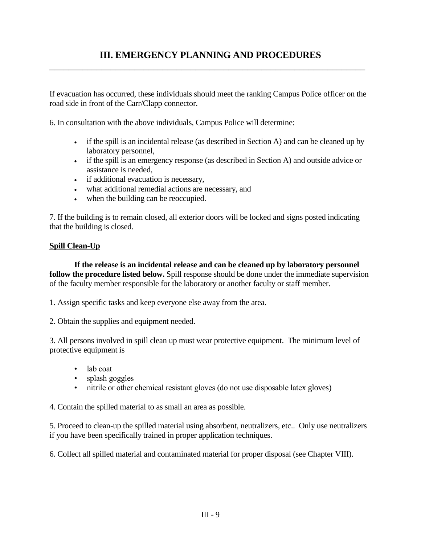$\overline{a_1}$  ,  $\overline{a_2}$  ,  $\overline{a_3}$  ,  $\overline{a_4}$  ,  $\overline{a_5}$  ,  $\overline{a_6}$  ,  $\overline{a_7}$  ,  $\overline{a_8}$  ,  $\overline{a_9}$  ,  $\overline{a_9}$  ,  $\overline{a_9}$  ,  $\overline{a_9}$  ,  $\overline{a_9}$  ,  $\overline{a_9}$  ,  $\overline{a_9}$  ,  $\overline{a_9}$  ,  $\overline{a_9}$  ,

If evacuation has occurred, these individuals should meet the ranking Campus Police officer on the road side in front of the Carr/Clapp connector.

6. In consultation with the above individuals, Campus Police will determine:

- if the spill is an incidental release (as described in Section A) and can be cleaned up by laboratory personnel,
- if the spill is an emergency response (as described in Section A) and outside advice or assistance is needed,
- if additional evacuation is necessary,
- what additional remedial actions are necessary, and
- when the building can be reoccupied.

7. If the building is to remain closed, all exterior doors will be locked and signs posted indicating that the building is closed.

### **Spill Clean-Up**

**If the release is an incidental release and can be cleaned up by laboratory personnel follow the procedure listed below.** Spill response should be done under the immediate supervision of the faculty member responsible for the laboratory or another faculty or staff member.

1. Assign specific tasks and keep everyone else away from the area.

2. Obtain the supplies and equipment needed.

3. All persons involved in spill clean up must wear protective equipment. The minimum level of protective equipment is

- lab coat
- splash goggles
- nitrile or other chemical resistant gloves (do not use disposable latex gloves)

4. Contain the spilled material to as small an area as possible.

5. Proceed to clean-up the spilled material using absorbent, neutralizers, etc.. Only use neutralizers if you have been specifically trained in proper application techniques.

6. Collect all spilled material and contaminated material for proper disposal (see Chapter VIII).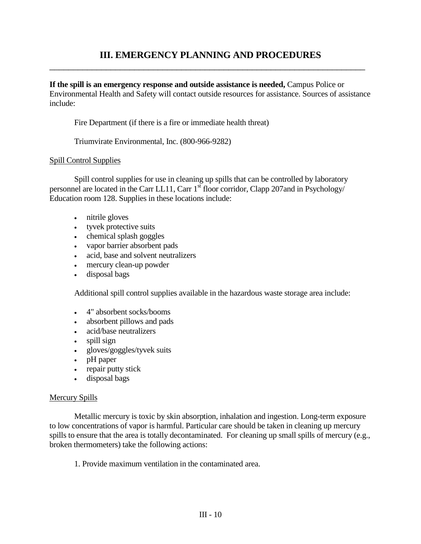$\overline{a_1}$  ,  $\overline{a_2}$  ,  $\overline{a_3}$  ,  $\overline{a_4}$  ,  $\overline{a_5}$  ,  $\overline{a_6}$  ,  $\overline{a_7}$  ,  $\overline{a_8}$  ,  $\overline{a_9}$  ,  $\overline{a_9}$  ,  $\overline{a_9}$  ,  $\overline{a_9}$  ,  $\overline{a_9}$  ,  $\overline{a_9}$  ,  $\overline{a_9}$  ,  $\overline{a_9}$  ,  $\overline{a_9}$  ,

**If the spill is an emergency response and outside assistance is needed,** Campus Police or Environmental Health and Safety will contact outside resources for assistance. Sources of assistance include:

Fire Department (if there is a fire or immediate health threat)

Triumvirate Environmental, Inc. (800-966-9282)

### Spill Control Supplies

Spill control supplies for use in cleaning up spills that can be controlled by laboratory personnel are located in the Carr LL11, Carr 1<sup>st</sup> floor corridor, Clapp 207and in Psychology/ Education room 128. Supplies in these locations include:

- nitrile gloves
- tyvek protective suits
- chemical splash goggles
- vapor barrier absorbent pads
- acid, base and solvent neutralizers
- mercury clean-up powder
- disposal bags

Additional spill control supplies available in the hazardous waste storage area include:

- 4" absorbent socks/booms
- absorbent pillows and pads
- acid/base neutralizers
- spill sign
- gloves/goggles/tyvek suits
- pH paper
- repair putty stick
- disposal bags

#### Mercury Spills

Metallic mercury is toxic by skin absorption, inhalation and ingestion. Long-term exposure to low concentrations of vapor is harmful. Particular care should be taken in cleaning up mercury spills to ensure that the area is totally decontaminated. For cleaning up small spills of mercury (e.g., broken thermometers) take the following actions:

1. Provide maximum ventilation in the contaminated area.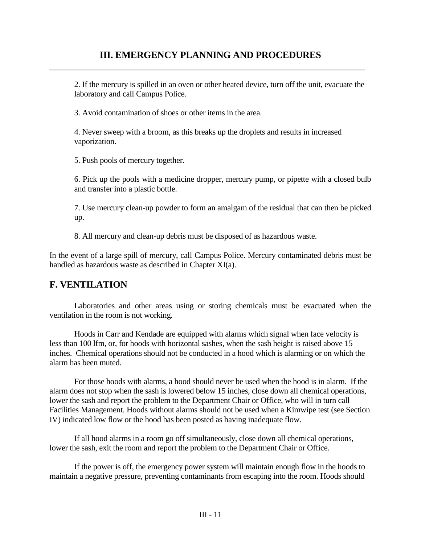$\overline{a_1}$  ,  $\overline{a_2}$  ,  $\overline{a_3}$  ,  $\overline{a_4}$  ,  $\overline{a_5}$  ,  $\overline{a_6}$  ,  $\overline{a_7}$  ,  $\overline{a_8}$  ,  $\overline{a_9}$  ,  $\overline{a_9}$  ,  $\overline{a_9}$  ,  $\overline{a_9}$  ,  $\overline{a_9}$  ,  $\overline{a_9}$  ,  $\overline{a_9}$  ,  $\overline{a_9}$  ,  $\overline{a_9}$  ,

2. If the mercury is spilled in an oven or other heated device, turn off the unit, evacuate the laboratory and call Campus Police.

3. Avoid contamination of shoes or other items in the area.

4. Never sweep with a broom, as this breaks up the droplets and results in increased vaporization.

5. Push pools of mercury together.

6. Pick up the pools with a medicine dropper, mercury pump, or pipette with a closed bulb and transfer into a plastic bottle.

7. Use mercury clean-up powder to form an amalgam of the residual that can then be picked up.

8. All mercury and clean-up debris must be disposed of as hazardous waste.

In the event of a large spill of mercury, call Campus Police. Mercury contaminated debris must be handled as hazardous waste as described in Chapter XI(a).

### **F. VENTILATION**

Laboratories and other areas using or storing chemicals must be evacuated when the ventilation in the room is not working.

Hoods in Carr and Kendade are equipped with alarms which signal when face velocity is less than 100 lfm, or, for hoods with horizontal sashes, when the sash height is raised above 15 inches. Chemical operations should not be conducted in a hood which is alarming or on which the alarm has been muted.

For those hoods with alarms, a hood should never be used when the hood is in alarm. If the alarm does not stop when the sash is lowered below 15 inches, close down all chemical operations, lower the sash and report the problem to the Department Chair or Office, who will in turn call Facilities Management. Hoods without alarms should not be used when a Kimwipe test (see Section IV) indicated low flow or the hood has been posted as having inadequate flow.

If all hood alarms in a room go off simultaneously, close down all chemical operations, lower the sash, exit the room and report the problem to the Department Chair or Office.

If the power is off, the emergency power system will maintain enough flow in the hoods to maintain a negative pressure, preventing contaminants from escaping into the room. Hoods should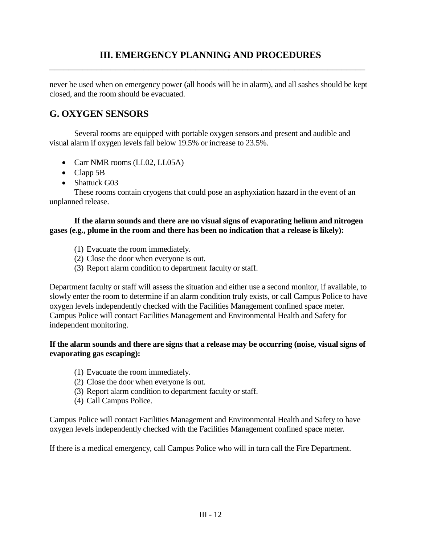$\overline{a_1}$  ,  $\overline{a_2}$  ,  $\overline{a_3}$  ,  $\overline{a_4}$  ,  $\overline{a_5}$  ,  $\overline{a_6}$  ,  $\overline{a_7}$  ,  $\overline{a_8}$  ,  $\overline{a_9}$  ,  $\overline{a_9}$  ,  $\overline{a_9}$  ,  $\overline{a_9}$  ,  $\overline{a_9}$  ,  $\overline{a_9}$  ,  $\overline{a_9}$  ,  $\overline{a_9}$  ,  $\overline{a_9}$  ,

never be used when on emergency power (all hoods will be in alarm), and all sashes should be kept closed, and the room should be evacuated.

# **G. OXYGEN SENSORS**

Several rooms are equipped with portable oxygen sensors and present and audible and visual alarm if oxygen levels fall below 19.5% or increase to 23.5%.

- Carr NMR rooms (LL02, LL05A)
- Clapp 5B
- Shattuck G03

These rooms contain cryogens that could pose an asphyxiation hazard in the event of an unplanned release.

### **If the alarm sounds and there are no visual signs of evaporating helium and nitrogen gases (e.g., plume in the room and there has been no indication that a release is likely):**

- (1) Evacuate the room immediately.
- (2) Close the door when everyone is out.
- (3) Report alarm condition to department faculty or staff.

Department faculty or staff will assess the situation and either use a second monitor, if available, to slowly enter the room to determine if an alarm condition truly exists, or call Campus Police to have oxygen levels independently checked with the Facilities Management confined space meter. Campus Police will contact Facilities Management and Environmental Health and Safety for independent monitoring.

### **If the alarm sounds and there are signs that a release may be occurring (noise, visual signs of evaporating gas escaping):**

- (1) Evacuate the room immediately.
- (2) Close the door when everyone is out.
- (3) Report alarm condition to department faculty or staff.
- (4) Call Campus Police.

Campus Police will contact Facilities Management and Environmental Health and Safety to have oxygen levels independently checked with the Facilities Management confined space meter.

If there is a medical emergency, call Campus Police who will in turn call the Fire Department.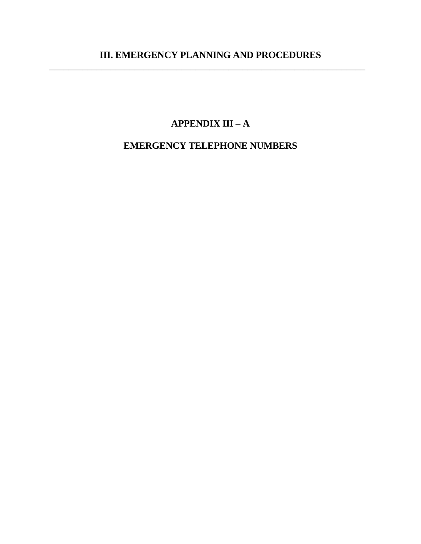$\overline{a_1}$  ,  $\overline{a_2}$  ,  $\overline{a_3}$  ,  $\overline{a_4}$  ,  $\overline{a_5}$  ,  $\overline{a_6}$  ,  $\overline{a_7}$  ,  $\overline{a_8}$  ,  $\overline{a_9}$  ,  $\overline{a_9}$  ,  $\overline{a_9}$  ,  $\overline{a_9}$  ,  $\overline{a_9}$  ,  $\overline{a_9}$  ,  $\overline{a_9}$  ,  $\overline{a_9}$  ,  $\overline{a_9}$  ,

# **APPENDIX III – A**

# **EMERGENCY TELEPHONE NUMBERS**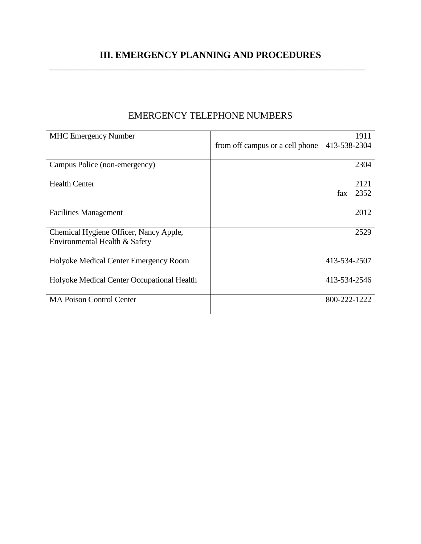| <b>MHC Emergency Number</b>                |                                 |              | 1911 |
|--------------------------------------------|---------------------------------|--------------|------|
|                                            | from off campus or a cell phone | 413-538-2304 |      |
| Campus Police (non-emergency)              |                                 |              | 2304 |
| <b>Health Center</b>                       |                                 |              | 2121 |
|                                            |                                 | fax          | 2352 |
| <b>Facilities Management</b>               |                                 |              | 2012 |
| Chemical Hygiene Officer, Nancy Apple,     |                                 |              | 2529 |
| Environmental Health & Safety              |                                 |              |      |
| Holyoke Medical Center Emergency Room      |                                 | 413-534-2507 |      |
| Holyoke Medical Center Occupational Health |                                 | 413-534-2546 |      |
| <b>MA Poison Control Center</b>            |                                 | 800-222-1222 |      |

# EMERGENCY TELEPHONE NUMBERS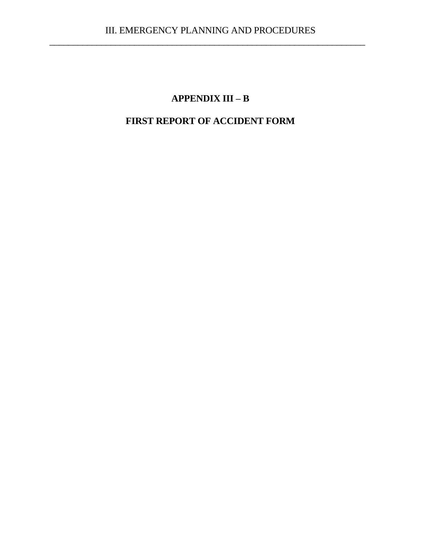# **APPENDIX III – B**

# **FIRST REPORT OF ACCIDENT FORM**